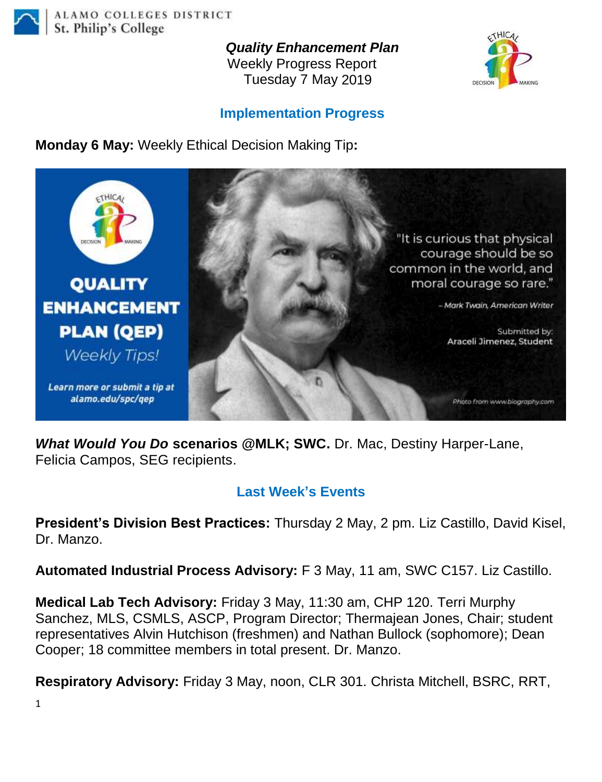

*Quality Enhancement Plan*

Weekly Progress Report Tuesday 7 May 2019



## **Implementation Progress**

**Monday 6 May:** Weekly Ethical Decision Making Tip**:**



*What Would You Do* **scenarios @MLK; SWC.** Dr. Mac, Destiny Harper-Lane, Felicia Campos, SEG recipients.

## **Last Week's Events**

**President's Division Best Practices:** Thursday 2 May, 2 pm. Liz Castillo, David Kisel, Dr. Manzo.

**Automated Industrial Process Advisory:** F 3 May, 11 am, SWC C157. Liz Castillo.

**Medical Lab Tech Advisory:** Friday 3 May, 11:30 am, CHP 120. Terri Murphy Sanchez, MLS, CSMLS, ASCP, Program Director; Thermajean Jones, Chair; student representatives Alvin Hutchison (freshmen) and Nathan Bullock (sophomore); Dean Cooper; 18 committee members in total present. Dr. Manzo.

**Respiratory Advisory:** Friday 3 May, noon, CLR 301. Christa Mitchell, BSRC, RRT,